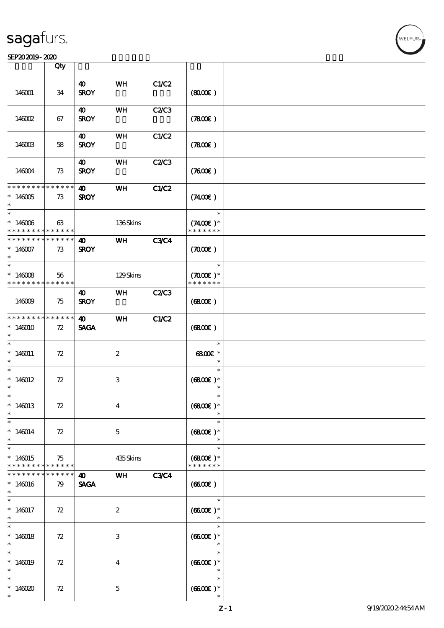#### SEP202019-2020

|                                                                   | Qty               |                                      |                  |              |                                               |  |
|-------------------------------------------------------------------|-------------------|--------------------------------------|------------------|--------------|-----------------------------------------------|--|
| 146001                                                            | 34                | 40<br><b>SROY</b>                    | WH               | C1/C2        | (800)                                         |  |
| 146002                                                            | 67                | $\boldsymbol{\omega}$<br><b>SROY</b> | WH               | <b>C2/C3</b> | (7800)                                        |  |
| 146003                                                            | 58                | 40<br><b>SROY</b>                    | WH               | C1/C2        | (7800)                                        |  |
| 146004                                                            | 73                | $\boldsymbol{\omega}$<br><b>SROY</b> | WH               | <b>C2/C3</b> | (7600)                                        |  |
| * * * * * * * * * * * * * * *<br>$*146005$<br>$\ast$              | 73                | 40<br><b>SROY</b>                    | <b>WH</b>        | C1/C2        | (7400)                                        |  |
| $\ast$<br>$*146006$<br>* * * * * * * * <mark>* * * * * *</mark> * | 63                |                                      | 136Skins         |              | $\ast$<br>$(7400)$ *<br>* * * * * * *         |  |
| * * * * * * * * * * * * * *<br>$*146007$<br>$\ast$                | 73                | $\boldsymbol{\omega}$<br><b>SROY</b> | WH               | <b>C3C4</b>  | (7000)                                        |  |
| $*146008$<br>* * * * * * * * <mark>* * * * * *</mark>             | 56                |                                      | 129Skins         |              | $\ast$<br>$(7000\text{E})$ *<br>* * * * * * * |  |
| 146009                                                            | 75                | 40<br><b>SROY</b>                    | WH               | <b>C2/C3</b> | (6800)                                        |  |
| * * * * * * * *<br>$*146010$<br>$\ast$                            | * * * * * *<br>72 | $\boldsymbol{\omega}$<br><b>SAGA</b> | WH               | C1/C2        | (6800)                                        |  |
| $\overline{\phantom{0}}$<br>$*146011$<br>$\ast$                   | 72                |                                      | $\boldsymbol{2}$ |              | $\ast$<br>$6800$ £ *<br>$\ast$                |  |
| $\ast$<br>$*146012$<br>$^{\ast}$                                  | 72                |                                      | 3                |              | $\ast$<br>$(6800)$ *<br>$\ast$                |  |
| $\ast$<br>$*146013$<br>$\ast$                                     | 72                |                                      | $\boldsymbol{4}$ |              | $\ast$<br>$(6800)$ *                          |  |
| $\ast$<br>$*146014$<br>$\ast$                                     | 72                |                                      | $\mathbf{5}$     |              | $\ast$<br>$(6800)$ *<br>$\ast$                |  |
| $\ast$<br>$*146015$<br>* * * * * * * *                            | 75<br>* * * * * * |                                      | 435Skins         |              | $\ast$<br>$(6800)$ *<br>* * * * * * *         |  |
| * * * * * * *<br>$*146016$<br>$\ast$                              | * * * * *<br>79   | 40<br><b>SAGA</b>                    | WH               | <b>C3C4</b>  | (6600)                                        |  |
| $\ast$<br>$*146017$<br>$\ast$                                     | 72                |                                      | $\boldsymbol{z}$ |              | $\ast$<br>$(6600)$ *<br>$\ast$                |  |
| $\ast$<br>$*146018$<br>$\ast$                                     | 72                |                                      | 3                |              | $\ast$<br>$(6600)$ *<br>$\ast$                |  |
| $\ast$<br>$*146019$                                               | 72                |                                      | $\boldsymbol{4}$ |              | $\ast$<br>$(6600)$ *<br>$\ast$                |  |
| $\ast$<br>$*146020$<br>$\ast$                                     | 72                |                                      | $\mathbf{5}$     |              | $\ast$<br>$(6600)$ *                          |  |

.<br>FUR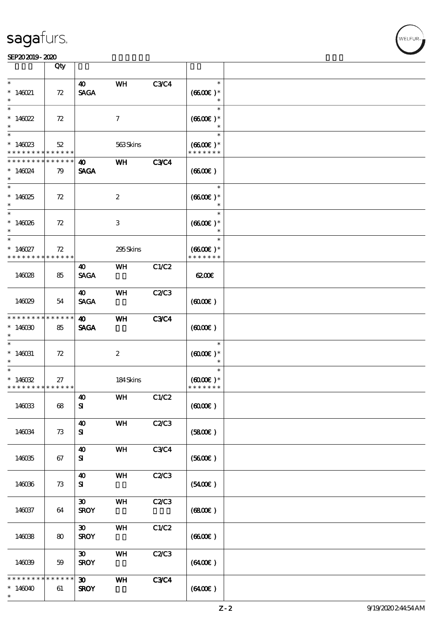#### SEP202019-2020

|                                                    | Qty               |                                            |                  |             |                                                 |  |
|----------------------------------------------------|-------------------|--------------------------------------------|------------------|-------------|-------------------------------------------------|--|
| $\ast$<br>$* 146021$                               | 72                | $\boldsymbol{\omega}$<br><b>SAGA</b>       | WH               | <b>C3C4</b> | $\ast$<br>$(6600E)*$<br>$\ast$                  |  |
| $\ast$<br>* $146022$<br>$\ast$                     | 72                |                                            | $\tau$           |             | $\ast$<br>$(6600)$ *<br>$\ast$                  |  |
| $*146023$<br>* * * * * * * *                       | 52<br>* * * * * * |                                            | 563Skins         |             | $\ast$<br>$(6600\text{E})*$<br>* * * * * * *    |  |
| * * * * * * * *<br>$*146024$<br>$\ast$             | * * * * * *<br>79 | 40<br><b>SAGA</b>                          | <b>WH</b>        | <b>C3C4</b> | (660)                                           |  |
| $*146025$<br>$*$                                   | 72                |                                            | $\boldsymbol{2}$ |             | $\ast$<br>$(6600E)*$<br>$\ast$                  |  |
| $\overline{\phantom{0}}$<br>$*146026$<br>$\ast$    | 72                |                                            | 3                |             | $\ast$<br>$(6600\text{E})*$<br>$\ast$           |  |
| $\ast$<br>$* 146027$<br>* * * * * * * *            | 72<br>******      |                                            | 295Skins         |             | $\ast$<br>$(6600)$ *<br>* * * * * * *           |  |
| 146028                                             | 85                | 40<br><b>SAGA</b>                          | <b>WH</b>        | C1/C2       | $\alpha$                                        |  |
| 146029                                             | 54                | 40<br><b>SAGA</b>                          | WH               | C2C3        | (6000)                                          |  |
| * * * * * * * *<br>$*14600$<br>$\ast$              | * * * * * *<br>85 | 40<br><b>SAGA</b>                          | WH               | <b>C3C4</b> | $(6000\varepsilon)$                             |  |
| $\ast$<br>$*146031$<br>$\ast$                      | 72                |                                            | $\boldsymbol{z}$ |             | $\ast$<br>$(6000\varepsilon)*$<br>$\ast$        |  |
| $\ast$<br>$*146032$<br>* * * * * * * * * * * * * * | 27                |                                            | 184Skins         |             | $\ast$<br>$(6000\varepsilon)*$<br>* * * * * * * |  |
| 146033                                             | $68\,$            | $\boldsymbol{\omega}$<br>${\bf s}$         | <b>WH</b>        | C1/C2       | (6000)                                          |  |
| 146034                                             | 73                | $\boldsymbol{\omega}$<br>${\bf s}$         | WH               | C2/C3       | (5800)                                          |  |
| 146035                                             | 67                | $\boldsymbol{\omega}$<br>${\bf s}$         | WH               | <b>C3C4</b> | (5600)                                          |  |
| 146036                                             | 73                | $\boldsymbol{\omega}$<br>${\bf s}$         | WH               | C2/C3       | (5400)                                          |  |
| 146037                                             | 64                | $\boldsymbol{\mathfrak{D}}$<br><b>SROY</b> | WH               | C2C3        | (680)                                           |  |
| 146038                                             | 80                | $\boldsymbol{\mathfrak{D}}$<br><b>SROY</b> | WH               | C1/C2       | (660E)                                          |  |
| 146039                                             | 59                | $\boldsymbol{\mathfrak{D}}$<br><b>SROY</b> | WH               | C2/C3       | (6400)                                          |  |
| * * * * * *<br>$*146040$<br>$\ast$                 | * * * * * *<br>61 | $\boldsymbol{\mathfrak{D}}$<br><b>SROY</b> | WH               | <b>C3C4</b> | (6400)                                          |  |

**WELFUR**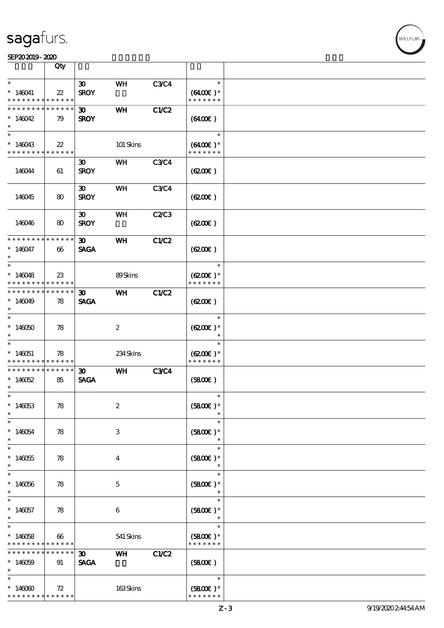#### SEP202019-2020

|                             | Qty         |                             |                  |              |                   |  |
|-----------------------------|-------------|-----------------------------|------------------|--------------|-------------------|--|
| $\ast$                      |             |                             |                  |              | $\ast$            |  |
|                             |             | $\boldsymbol{\mathfrak{D}}$ | WH               | <b>C3C4</b>  |                   |  |
| $*146041$                   | $2\!2$      | <b>SROY</b>                 |                  |              | $(6400)$ *        |  |
| * * * * * * * *             | * * * * * * |                             |                  |              | * * * * * * *     |  |
| * * * * * * * *             | * * * * * * | $\boldsymbol{\mathfrak{D}}$ | WH               | C1/C2        |                   |  |
| $*146042$                   | 79          | <b>SROY</b>                 |                  |              | (6400)            |  |
| $\ast$                      |             |                             |                  |              |                   |  |
| $\ast$                      |             |                             |                  |              | $\ast$            |  |
|                             |             |                             |                  |              |                   |  |
| $*146043$                   | $22\,$      |                             | 101 Skins        |              | $(6400\text{E})*$ |  |
| * * * * * * * * * * * * * * |             |                             |                  |              | * * * * * * *     |  |
|                             |             | $\boldsymbol{\mathfrak{D}}$ | WH               | <b>C3C4</b>  |                   |  |
| 146044                      | 61          | <b>SROY</b>                 |                  |              | (6200)            |  |
|                             |             |                             |                  |              |                   |  |
|                             |             |                             |                  |              |                   |  |
|                             |             | $\boldsymbol{\mathfrak{D}}$ | <b>WH</b>        | <b>C3C4</b>  |                   |  |
| 146045                      | 80          | <b>SROY</b>                 |                  |              | (6200)            |  |
|                             |             |                             |                  |              |                   |  |
|                             |             | $\boldsymbol{\mathfrak{D}}$ | WH               | C2C3         |                   |  |
| 146046                      | 80          | <b>SROY</b>                 |                  |              | (6200)            |  |
|                             |             |                             |                  |              |                   |  |
|                             |             |                             |                  |              |                   |  |
| * * * * * * * *             | * * * * * * | 30 <sub>o</sub>             | WH               | C1/C2        |                   |  |
| $*146047$                   | 66          | <b>SAGA</b>                 |                  |              | (6200)            |  |
| $\ast$                      |             |                             |                  |              |                   |  |
| $\ast$                      |             |                             |                  |              | $\ast$            |  |
|                             |             |                             |                  |              |                   |  |
| $*146048$                   | $23\,$      |                             | 89Skins          |              | $(6200)$ *        |  |
| * * * * * * * *             | * * * * * * |                             |                  |              | * * * * * * *     |  |
| * * * * * * * *             | * * * * * * | $\boldsymbol{\mathfrak{D}}$ | WH               | <b>C1/C2</b> |                   |  |
| $*146049$                   | 78          | <b>SAGA</b>                 |                  |              | (6200)            |  |
| $\ast$                      |             |                             |                  |              |                   |  |
| $\overline{\ast}$           |             |                             |                  |              | $\ast$            |  |
|                             |             |                             |                  |              |                   |  |
| $*146050$                   | 78          |                             | $\boldsymbol{2}$ |              | $(6200)$ *        |  |
| $\ast$                      |             |                             |                  |              | $\ast$            |  |
| $\ast$                      |             |                             |                  |              | $\ast$            |  |
| $*146051$                   | 78          |                             | 234Skins         |              | $(6200)$ *        |  |
| * * * * * * * *             | * * * * * * |                             |                  |              | * * * * * * *     |  |
| * * * * * * * *             | * * * * * * | $\boldsymbol{\mathfrak{D}}$ | WH               | <b>C3C4</b>  |                   |  |
|                             |             |                             |                  |              |                   |  |
| $*140052$                   | 85          | <b>SAGA</b>                 |                  |              | (5800)            |  |
| $\ast$                      |             |                             |                  |              |                   |  |
| $\ast$                      |             |                             |                  |              |                   |  |
| $*146053$                   | 78          |                             | $\boldsymbol{2}$ |              | $(5800)$ *        |  |
| $\ast$                      |             |                             |                  |              |                   |  |
| $\ast$                      |             |                             |                  |              | $\ast$            |  |
|                             |             |                             |                  |              |                   |  |
| $*146054$                   | 78          |                             | $\,3$            |              | $(5800)$ *        |  |
| $\ast$                      |             |                             |                  |              | $\ast$            |  |
| $\ast$                      |             |                             |                  |              | $\ast$            |  |
| $*140055$                   | 78          |                             | $\bf{4}$         |              | $(5800)$ *        |  |
| $\ast$                      |             |                             |                  |              | $\ast$            |  |
| $\ast$                      |             |                             |                  |              | $\ast$            |  |
|                             |             |                             |                  |              |                   |  |
| $*146056$                   | 78          |                             | $\mathbf{5}$     |              | $(5800)$ *        |  |
| $\ast$                      |             |                             |                  |              | $\ast$            |  |
| $\ast$                      |             |                             |                  |              | $\ast$            |  |
| $*146057$                   | 78          |                             | 6                |              | $(5800)$ *        |  |
| $\ast$                      |             |                             |                  |              |                   |  |
| $\ast$                      |             |                             |                  |              | $\ast$            |  |
|                             |             |                             |                  |              |                   |  |
| $*146058$                   | 66          |                             | 541 Skins        |              | $(5800)$ *        |  |
| * * * * * * * *             | * * * * * * |                             |                  |              | * * * * * * *     |  |
| * * * * * * *               | * * * * *   | $\boldsymbol{\mathfrak{D}}$ | <b>WH</b>        | C1/C2        |                   |  |
| $*146059$                   | 91          | <b>SAGA</b>                 |                  |              | (5800)            |  |
| $\ast$                      |             |                             |                  |              |                   |  |
| $\ast$                      |             |                             |                  |              | $\ast$            |  |
|                             |             |                             |                  |              |                   |  |
| $*146000$                   | 72          |                             | 163Skins         |              | $(5800)$ *        |  |
| * * * * * * * *             | * * * * * * |                             |                  |              | * * * * * * *     |  |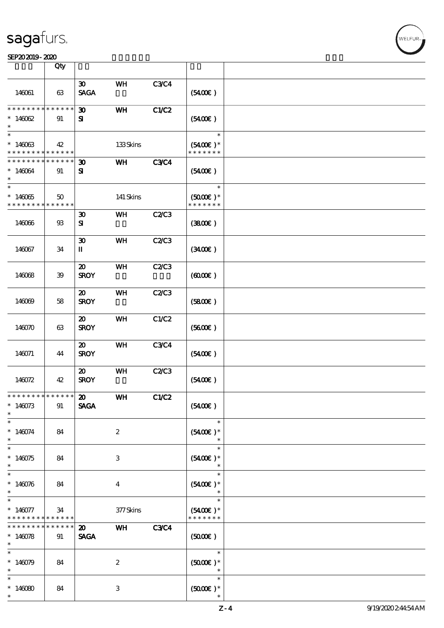#### SEP202019-2020 DEEP202019-2020 DEEP202019-2020 DEEP202019-2020 DEEP202019-2020 DEEP20

|                               | Qty                         |                             |                  |             |                                       |  |
|-------------------------------|-----------------------------|-----------------------------|------------------|-------------|---------------------------------------|--|
|                               |                             | $\boldsymbol{\mathfrak{D}}$ | WH               | <b>C3C4</b> |                                       |  |
| 146061                        | 63                          | <b>SAGA</b>                 |                  |             | (5400)                                |  |
| * * * * * * * *               | $* * * * * * *$             | $\boldsymbol{\mathfrak{D}}$ | WH               | C1/C2       |                                       |  |
| $*14002$                      | 91                          | ${\bf s}$                   |                  |             | (5400)                                |  |
| $\ast$                        |                             |                             |                  |             | $\ast$                                |  |
| $*146063$<br>* * * * * * * *  | 42<br>* * * * * *           |                             | 133Skins         |             | $(5400)$ *<br>* * * * * * *           |  |
| * * * * * * * *               | * * * * * *                 | $\boldsymbol{\mathfrak{D}}$ | WH               | <b>C3C4</b> |                                       |  |
| $*146064$<br>$\ast$           | 91                          | ${\bf s}$                   |                  |             | (5400)                                |  |
| $\overline{\ast}$             |                             |                             |                  |             | $\ast$                                |  |
| $*146065$<br>* * * * * * * *  | $50^{\circ}$<br>* * * * * * |                             | 141 Skins        |             | $(5000\varepsilon)*$<br>* * * * * * * |  |
|                               |                             | $\boldsymbol{\mathfrak{D}}$ | WH               | C2C3        |                                       |  |
| 146066                        | $93\,$                      | ${\bf s}$                   |                  |             | (3800)                                |  |
|                               |                             | $\boldsymbol{\mathfrak{D}}$ | WH               | C2/C3       |                                       |  |
| 146067                        | 34                          | $\mathbf{I}$                |                  |             | (340)                                 |  |
|                               |                             | $\boldsymbol{\mathfrak{D}}$ | <b>WH</b>        | C2C3        |                                       |  |
| 146068                        | 39                          | <b>SROY</b>                 |                  |             | (600)                                 |  |
|                               |                             | $\boldsymbol{\mathfrak{D}}$ | WH               | C2C3        |                                       |  |
| 146069                        | 58                          | <b>SROY</b>                 |                  |             | (5800)                                |  |
|                               |                             | $\boldsymbol{\mathfrak{D}}$ | WH               | C1/C2       |                                       |  |
| 146070                        | 63                          | <b>SROY</b>                 |                  |             | (5600)                                |  |
|                               |                             | $\boldsymbol{\mathfrak{D}}$ | WH               | <b>C3C4</b> |                                       |  |
| 146071                        | 44                          | <b>SROY</b>                 |                  |             | (5400)                                |  |
|                               |                             | $\boldsymbol{\mathfrak{D}}$ | WH               | C2C3        |                                       |  |
| 146072                        | 42                          | <b>SROY</b>                 |                  |             | (5400)                                |  |
| * * * * * * * * * * * * * * * |                             | $\boldsymbol{\omega}$       | WH               | C1/C2       |                                       |  |
| $*146073$<br>$\ast$           | 91                          | <b>SAGA</b>                 |                  |             | (5400)                                |  |
| $\ast$                        |                             |                             |                  |             | $\ast$                                |  |
| $* 146074$<br>$\ast$          | 84                          |                             | $\boldsymbol{2}$ |             | $(5400)$ *<br>$\ast$                  |  |
|                               |                             |                             |                  |             | $\ast$                                |  |
| $*140075$<br>$\ast$           | 84                          |                             | 3                |             | $(5400)$ *<br>$\ast$                  |  |
| $\ast$                        |                             |                             |                  |             | $\ast$                                |  |
| $* 146076$<br>$*$             | 84                          |                             | $\bf{4}$         |             | $(5400)$ *<br>$\ast$                  |  |
| $\ast$                        |                             |                             |                  |             | $\ast$                                |  |
| $* 146077$<br>* * * * * * * * | 34<br>* * * * * *           |                             | $377$ Skins      |             | $(5400)$ *<br>* * * * * * *           |  |
| * * * * * * *                 | $* * * * * *$               | $\boldsymbol{\mathfrak{D}}$ | <b>WH</b>        | <b>C3C4</b> |                                       |  |
| $*146078$<br>$\ast$           | 91                          | <b>SAGA</b>                 |                  |             | (5000)                                |  |
| $\overline{\phantom{0}}$      |                             |                             |                  |             | $\ast$                                |  |
| $*146079$<br>$\ast$           | 84                          |                             | $\boldsymbol{2}$ |             | $(5000)$ *<br>$\ast$                  |  |
| $\ast$                        |                             |                             |                  |             | $\ast$                                |  |
| $*146080$<br>$\ast$           | 84                          |                             | 3                |             | $(5000)$ *                            |  |

-<br>ELFUR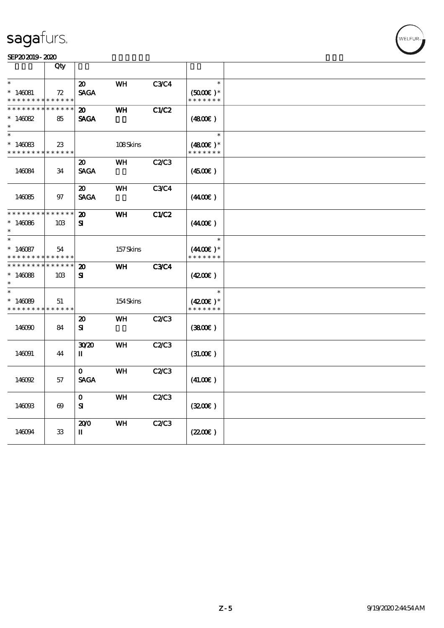#### SEP202019-2020

| $\ast$<br><b>C3C4</b><br>$\ast$<br>$\boldsymbol{\mathsf{20}}$<br>WH<br>$*140081$<br><b>SAGA</b><br>$(5000)$ *<br>72<br>* * * * * * *<br>* * * * * * * *<br>* * * * * *<br>* * * * * *<br>* * * * * * * *<br>C1/C2<br>WH<br>20<br>$*140082$<br><b>SAGA</b><br>85<br>(4800)<br>$\ast$<br>$\ast$<br>$\ast$<br>$*146083$<br>108Skins<br>$(4800)$ *<br>23<br>* * * * * * * *<br>* * * * * *<br>* * * * * * *<br><b>C2/C3</b><br>WH<br>$\boldsymbol{\mathfrak{D}}$<br><b>SAGA</b><br>146084<br>34<br>(4500)<br><b>C3C4</b><br>WH<br>20<br><b>SAGA</b><br>(440E)<br>146085<br>97<br>* * * * * * * *<br>* * * * * *<br><b>WH</b><br>C1/C2<br>$\boldsymbol{\mathbf{z}}$<br>$*146086$<br>${\bf s}$<br>(440E)<br>10B<br>$\ast$<br>$\ast$<br>$\ast$<br>$*146087$<br>157Skins<br>$(4400)$ *<br>54<br>* * * * * * *<br>* * * * * * * *<br>* * * * * *<br>* * * * * * * *<br>$******$<br><b>C3C4</b><br><b>WH</b><br>20<br>${\bf s}$<br>(4200)<br>$*14088$<br>10 <sub>B</sub><br>$\ast$<br>$\ast$<br>$\ast$<br>$*146089$<br>154Skins<br>$(4200)$ *<br>51<br>* * * * * * *<br>* * * * * * * *<br>* * * * * *<br><b>C2/C3</b><br>$\boldsymbol{\mathfrak{D}}$<br>WH<br>146090<br>84<br>${\bf s}$<br>(3800)<br><b>WH</b><br><b>C2/C3</b><br>30 <sup>20</sup><br>146091<br>П<br>(31.00)<br>44<br>WH<br>C2C3<br>$\mathbf{o}$<br><b>SAGA</b><br>146092<br>(41.00)<br>57<br><b>C2/C3</b><br>$\mathbf O$<br><b>WH</b><br>${\bf s}$<br>(3200)<br>146093<br>$\boldsymbol{\omega}$<br>WH<br>C2C3<br>200 | Qty |  |       |  |
|------------------------------------------------------------------------------------------------------------------------------------------------------------------------------------------------------------------------------------------------------------------------------------------------------------------------------------------------------------------------------------------------------------------------------------------------------------------------------------------------------------------------------------------------------------------------------------------------------------------------------------------------------------------------------------------------------------------------------------------------------------------------------------------------------------------------------------------------------------------------------------------------------------------------------------------------------------------------------------------------------------------------------------------------------------------------------------------------------------------------------------------------------------------------------------------------------------------------------------------------------------------------------------------------------------------------------------------------------------------------------------------------------------------------------------------------------------------------------|-----|--|-------|--|
|                                                                                                                                                                                                                                                                                                                                                                                                                                                                                                                                                                                                                                                                                                                                                                                                                                                                                                                                                                                                                                                                                                                                                                                                                                                                                                                                                                                                                                                                              |     |  |       |  |
|                                                                                                                                                                                                                                                                                                                                                                                                                                                                                                                                                                                                                                                                                                                                                                                                                                                                                                                                                                                                                                                                                                                                                                                                                                                                                                                                                                                                                                                                              |     |  |       |  |
|                                                                                                                                                                                                                                                                                                                                                                                                                                                                                                                                                                                                                                                                                                                                                                                                                                                                                                                                                                                                                                                                                                                                                                                                                                                                                                                                                                                                                                                                              |     |  |       |  |
|                                                                                                                                                                                                                                                                                                                                                                                                                                                                                                                                                                                                                                                                                                                                                                                                                                                                                                                                                                                                                                                                                                                                                                                                                                                                                                                                                                                                                                                                              |     |  |       |  |
|                                                                                                                                                                                                                                                                                                                                                                                                                                                                                                                                                                                                                                                                                                                                                                                                                                                                                                                                                                                                                                                                                                                                                                                                                                                                                                                                                                                                                                                                              |     |  |       |  |
|                                                                                                                                                                                                                                                                                                                                                                                                                                                                                                                                                                                                                                                                                                                                                                                                                                                                                                                                                                                                                                                                                                                                                                                                                                                                                                                                                                                                                                                                              |     |  |       |  |
|                                                                                                                                                                                                                                                                                                                                                                                                                                                                                                                                                                                                                                                                                                                                                                                                                                                                                                                                                                                                                                                                                                                                                                                                                                                                                                                                                                                                                                                                              |     |  |       |  |
|                                                                                                                                                                                                                                                                                                                                                                                                                                                                                                                                                                                                                                                                                                                                                                                                                                                                                                                                                                                                                                                                                                                                                                                                                                                                                                                                                                                                                                                                              |     |  |       |  |
|                                                                                                                                                                                                                                                                                                                                                                                                                                                                                                                                                                                                                                                                                                                                                                                                                                                                                                                                                                                                                                                                                                                                                                                                                                                                                                                                                                                                                                                                              |     |  |       |  |
|                                                                                                                                                                                                                                                                                                                                                                                                                                                                                                                                                                                                                                                                                                                                                                                                                                                                                                                                                                                                                                                                                                                                                                                                                                                                                                                                                                                                                                                                              |     |  |       |  |
|                                                                                                                                                                                                                                                                                                                                                                                                                                                                                                                                                                                                                                                                                                                                                                                                                                                                                                                                                                                                                                                                                                                                                                                                                                                                                                                                                                                                                                                                              |     |  |       |  |
|                                                                                                                                                                                                                                                                                                                                                                                                                                                                                                                                                                                                                                                                                                                                                                                                                                                                                                                                                                                                                                                                                                                                                                                                                                                                                                                                                                                                                                                                              |     |  |       |  |
|                                                                                                                                                                                                                                                                                                                                                                                                                                                                                                                                                                                                                                                                                                                                                                                                                                                                                                                                                                                                                                                                                                                                                                                                                                                                                                                                                                                                                                                                              |     |  |       |  |
| П<br>146094<br>33                                                                                                                                                                                                                                                                                                                                                                                                                                                                                                                                                                                                                                                                                                                                                                                                                                                                                                                                                                                                                                                                                                                                                                                                                                                                                                                                                                                                                                                            |     |  | (220) |  |

WELFUR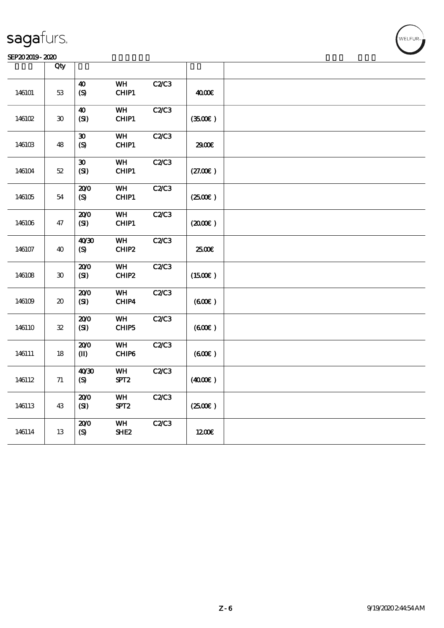#### $SEP202019 - 2020$

|        | Qty                                 |                                            |                               |       |         |  |
|--------|-------------------------------------|--------------------------------------------|-------------------------------|-------|---------|--|
| 146101 | $5\!3$                              | $\boldsymbol{\Lambda}$<br>$\boldsymbol{S}$ | WH<br>CHIP1                   | C2C3  | 4000€   |  |
| 146102 | $\pmb{\mathfrak{D}}$                | 40<br>(SI)                                 | WH<br>CHIP1                   | C2C3  | (3500)  |  |
| 146103 | 48                                  | $\boldsymbol{\mathfrak{D}}$<br>(S)         | WH<br>CHIP1                   | C2C3  | 2900€   |  |
| 146104 | $5\!2$                              | $\pmb{\mathfrak{D}}$<br>(SI)               | WH<br>CHIP1                   | C2/C3 | (27.00) |  |
| 146105 | 54                                  | 200<br>(S)                                 | <b>WH</b><br>CHIP1            | C2C3  | (250E)  |  |
| 146106 | 47                                  | 200<br>(SI)                                | WH<br>CHIP1                   | C2C3  | (200E)  |  |
| 146107 | 40                                  | 40'30<br>(S)                               | WH<br>CHIP2                   | C2C3  | 2500€   |  |
| 146108 | $\boldsymbol{\mathfrak{D}}$         | 200<br>(SI)                                | <b>WH</b><br>CHIP2            | C2C3  | (1500E) |  |
| 146109 | $\boldsymbol{\boldsymbol{\lambda}}$ | 200<br>(SI)                                | WH<br>CHIP4                   | C2C3  | (60E)   |  |
| 146110 | ${\bf 32}$                          | 200<br>(SI)                                | WH<br>CHIP5                   | C2C3  | (600)   |  |
| 146111 | 18                                  | 200<br>$(\mathbf{I})$                      | WH<br>CHIP6                   | C2C3  | (60E)   |  |
| 146112 | 71                                  | 40'30<br>(S)                               | WH<br>SPT <sub>2</sub>        | C2C3  | (400E)  |  |
| 146113 | 43                                  | 200<br>(SI)                                | WH<br>SPT <sub>2</sub>        | C2/C3 | (2500)  |  |
| 146114 | 13                                  | 200<br>(S)                                 | <b>WH</b><br>SHE <sub>2</sub> | C2C3  | 1200E   |  |

 $\mathbf{r}$ 

WELFUR